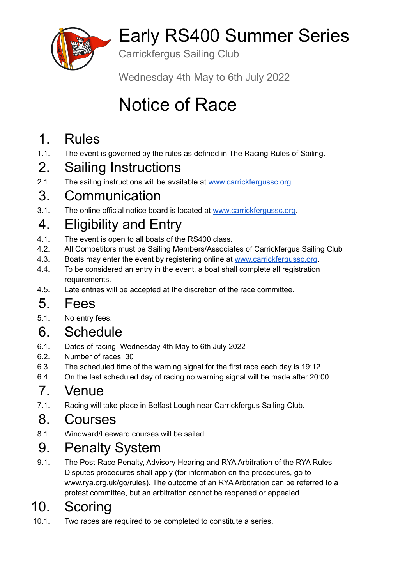

# Early RS400 Summer Series

Carrickfergus Sailing Club

Wednesday 4th May to 6th July 2022

# Notice of Race

### 1. Rules

1.1. The event is governed by the rules as defined in The Racing Rules of Sailing.

### 2. Sailing Instructions

2.1. The sailing instructions will be available at [www.carrickfergussc.org](http://www.carrickfergussc.org).

### 3. Communication

3.1. The online official notice board is located at [www.carrickfergussc.org.](http://www.carrickfergussc.org)

## 4. Eligibility and Entry

- 4.1. The event is open to all boats of the RS400 class.
- 4.2. All Competitors must be Sailing Members/Associates of Carrickfergus Sailing Club
- 4.3. Boats may enter the event by registering online at [www.carrickfergussc.org](http://www.carrickfergussc.org).
- 4.4. To be considered an entry in the event, a boat shall complete all registration requirements.
- 4.5. Late entries will be accepted at the discretion of the race committee.

### 5. Fees

5.1. No entry fees.

### 6. Schedule

- 6.1. Dates of racing: Wednesday 4th May to 6th July 2022
- 6.2. Number of races: 30
- 6.3. The scheduled time of the warning signal for the first race each day is 19:12.
- 6.4. On the last scheduled day of racing no warning signal will be made after 20:00.

#### 7. Venue

7.1. Racing will take place in Belfast Lough near Carrickfergus Sailing Club.

### 8. Courses

8.1. Windward/Leeward courses will be sailed.

### 9. Penalty System

9.1. The Post-Race Penalty, Advisory Hearing and RYA Arbitration of the RYA Rules Disputes procedures shall apply (for information on the procedures, go to www.rya.org.uk/go/rules). The outcome of an RYA Arbitration can be referred to a protest committee, but an arbitration cannot be reopened or appealed.

### 10. Scoring

10.1. Two races are required to be completed to constitute a series.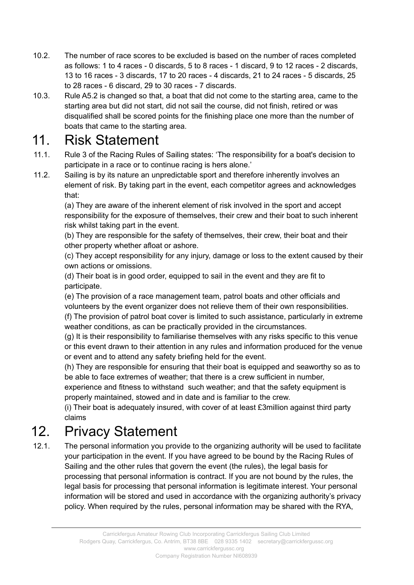- 10.2. The number of race scores to be excluded is based on the number of races completed as follows: 1 to 4 races - 0 discards, 5 to 8 races - 1 discard, 9 to 12 races - 2 discards, 13 to 16 races - 3 discards, 17 to 20 races - 4 discards, 21 to 24 races - 5 discards, 25 to 28 races - 6 discard, 29 to 30 races - 7 discards.
- 10.3. Rule A5.2 is changed so that, a boat that did not come to the starting area, came to the starting area but did not start, did not sail the course, did not finish, retired or was disqualified shall be scored points for the finishing place one more than the number of boats that came to the starting area.

#### 11. Risk Statement

- 11.1. Rule 3 of the Racing Rules of Sailing states: 'The responsibility for a boat's decision to participate in a race or to continue racing is hers alone.'
- 11.2. Sailing is by its nature an unpredictable sport and therefore inherently involves an element of risk. By taking part in the event, each competitor agrees and acknowledges that:

(a) They are aware of the inherent element of risk involved in the sport and accept responsibility for the exposure of themselves, their crew and their boat to such inherent risk whilst taking part in the event.

(b) They are responsible for the safety of themselves, their crew, their boat and their other property whether afloat or ashore.

(c) They accept responsibility for any injury, damage or loss to the extent caused by their own actions or omissions.

(d) Their boat is in good order, equipped to sail in the event and they are fit to participate.

(e) The provision of a race management team, patrol boats and other officials and volunteers by the event organizer does not relieve them of their own responsibilities.

(f) The provision of patrol boat cover is limited to such assistance, particularly in extreme weather conditions, as can be practically provided in the circumstances.

(g) It is their responsibility to familiarise themselves with any risks specific to this venue or this event drawn to their attention in any rules and information produced for the venue or event and to attend any safety briefing held for the event.

(h) They are responsible for ensuring that their boat is equipped and seaworthy so as to be able to face extremes of weather; that there is a crew sufficient in number,

experience and fitness to withstand such weather; and that the safety equipment is properly maintained, stowed and in date and is familiar to the crew.

(i) Their boat is adequately insured, with cover of at least £3million against third party claims

### 12. Privacy Statement

12.1. The personal information you provide to the organizing authority will be used to facilitate your participation in the event. If you have agreed to be bound by the Racing Rules of Sailing and the other rules that govern the event (the rules), the legal basis for processing that personal information is contract. If you are not bound by the rules, the legal basis for processing that personal information is legitimate interest. Your personal information will be stored and used in accordance with the organizing authority's privacy policy. When required by the rules, personal information may be shared with the RYA,